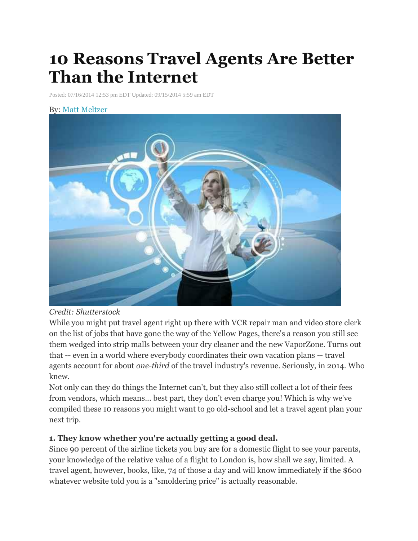# **10 Reasons Travel Agents Are Better Than the Internet**

Posted: 07/16/2014 12:53 pm EDT Updated: 09/15/2014 5:59 am EDT

#### By: Matt [Meltzer](http://www.thrillist.com/authors/matt-meltzer)



#### *Credit: Shutterstock*

While you might put travel agent right up there with VCR repair man and video store clerk on the list of jobs that have gone the way of the Yellow Pages, there's a reason you still see them wedged into strip malls between your dry cleaner and the new VaporZone. Turns out that -- even in a world where everybody coordinates their own vacation plans -- travel agents account for about *one-third* of the travel industry's revenue. Seriously, in 2014. Who knew.

Not only can they do things the Internet can't, but they also still collect a lot of their fees from vendors, which means... best part, they don't even charge you! Which is why we've compiled these 10 reasons you might want to go old-school and let a travel agent plan your next trip.

#### **1. They know whether you're actually getting a good deal.**

Since 90 percent of the airline tickets you buy are for a domestic flight to see your parents, your knowledge of the relative value of a flight to London is, how shall we say, limited. A travel agent, however, books, like, 74 of those a day and will know immediately if the \$600 whatever website told you is a "smoldering price" is actually reasonable.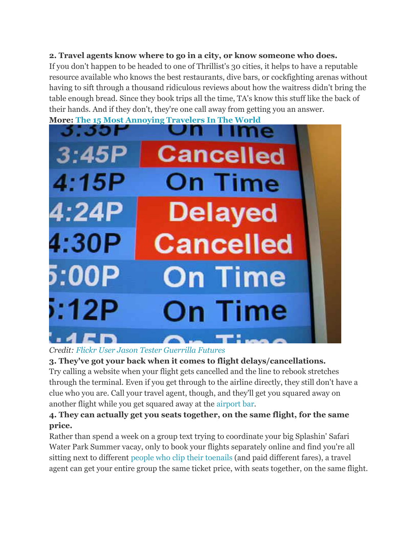#### **2. Travel agents know where to go in a city, or know someone who does.**

If you don't happen to be headed to one of Thrillist's 30 cities, it helps to have a reputable resource available who knows the best restaurants, dive bars, or cockfighting arenas without having to sift through a thousand ridiculous reviews about how the waitress didn't bring the table enough bread. Since they book trips all the time, TA's know this stuff like the back of their hands. And if they don't, they're one call away from getting you an answer.

**More: The 15 Most [Annoying](http://www.thrillist.com/travel/nation/annoying-people-the-15-most-annoying-travelers-in-the-world?utm_source=huffingtonpost&utm_medium=syn&utm_term=web&utm_campaign=travel) Travelers In The World**



*Credit: Flickr User Jason Tester [Guerrilla](https://www.flickr.com/photos/streamishmc) Futures*

**3. They've got your back when it comes to flight delays/cancellations.** Try calling a website when your flight gets cancelled and the line to rebook stretches through the terminal. Even if you get through to the airline directly, they still don't have a clue who you are. Call your travel agent, though, and they'll get you squared away on another flight while you get squared away at the [airport](http://www.thrillist.com/travel/nation/worlds-best-airport-bars-in-between-flights-listen-to-live-music-or-sit-poolside?utm_source=huffingtonpost&utm_medium=syn&utm_term=web&utm_campaign=travel) bar.

# **4. They can actually get you seats together, on the same flight, for the same price.**

Rather than spend a week on a group text trying to coordinate your big Splashin' Safari Water Park Summer vacay, only to book your flights separately online and find you're all sitting next to different people who clip their [toenails](http://www.thrillist.com/travel/nation/airplane-etiquette-things-that-annoy-flight-attendants?utm_source=huffingtonpost&utm_medium=syn&utm_term=web&utm_campaign=travel) (and paid different fares), a travel agent can get your entire group the same ticket price, with seats together, on the same flight.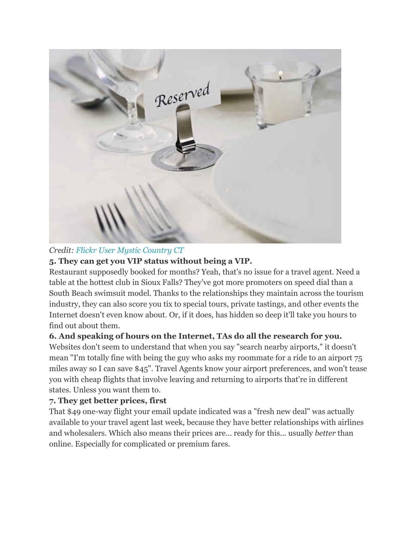

*Credit: Flickr User Mystic [Country](https://www.flickr.com/photos/mysticcountry/) CT*

# **5. They can get you VIP status without being a VIP.**

Restaurant supposedly booked for months? Yeah, that's no issue for a travel agent. Need a table at the hottest club in Sioux Falls? They've got more promoters on speed dial than a South Beach swimsuit model. Thanks to the relationships they maintain across the tourism industry, they can also score you tix to special tours, private tastings, and other events the Internet doesn't even know about. Or, if it does, has hidden so deep it'll take you hours to find out about them.

# **6. And speaking of hours on the Internet, TAs do all the research for you.**

Websites don't seem to understand that when you say "search nearby airports," it doesn't mean "I'm totally fine with being the guy who asks my roommate for a ride to an airport 75 miles away so I can save \$45". Travel Agents know your airport preferences, and won't tease you with cheap flights that involve leaving and returning to airports that're in different states. Unless you want them to.

# **7. They get better prices, first**

That \$49 one-way flight your email update indicated was a "fresh new deal" was actually available to your travel agent last week, because they have better relationships with airlines and wholesalers. Which also means their prices are... ready for this... usually *better* than online. Especially for complicated or premium fares.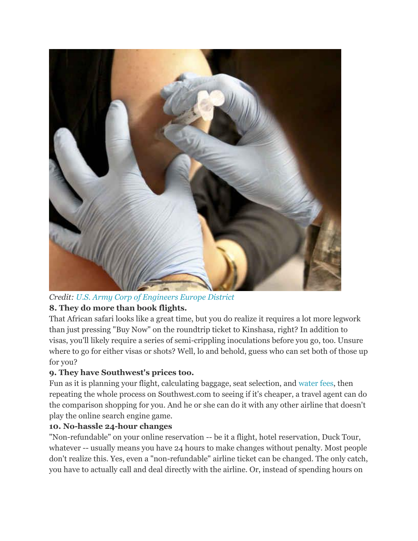

# *Credit: U.S. Army Corp of [Engineers](https://www.flickr.com/photos/europedistrict/) Europe District*

# **8. They do more than book flights.**

That African safari looks like a great time, but you do realize it requires a lot more legwork than just pressing "Buy Now" on the roundtrip ticket to Kinshasa, right? In addition to visas, you'll likely require a series of semi-crippling inoculations before you go, too. Unsure where to go for either visas or shots? Well, lo and behold, guess who can set both of those up for you?

#### **9. They have Southwest's prices too.**

Fun as it is planning your flight, calculating baggage, seat selection, and [water](http://www.thrillist.com/travel/nation/the-nine-most-outrageous-airline-charges-and-fees?utm_source=huffingtonpost&utm_medium=syn&utm_term=web&utm_campaign=travel) fees, then repeating the whole process on Southwest.com to seeing if it's cheaper, a travel agent can do the comparison shopping for you. And he or she can do it with any other airline that doesn't play the online search engine game.

#### **10. No-hassle 24-hour changes**

"Non-refundable" on your online reservation -- be it a flight, hotel reservation, Duck Tour, whatever -- usually means you have 24 hours to make changes without penalty. Most people don't realize this. Yes, even a "non-refundable" airline ticket can be changed. The only catch, you have to actually call and deal directly with the airline. Or, instead of spending hours on